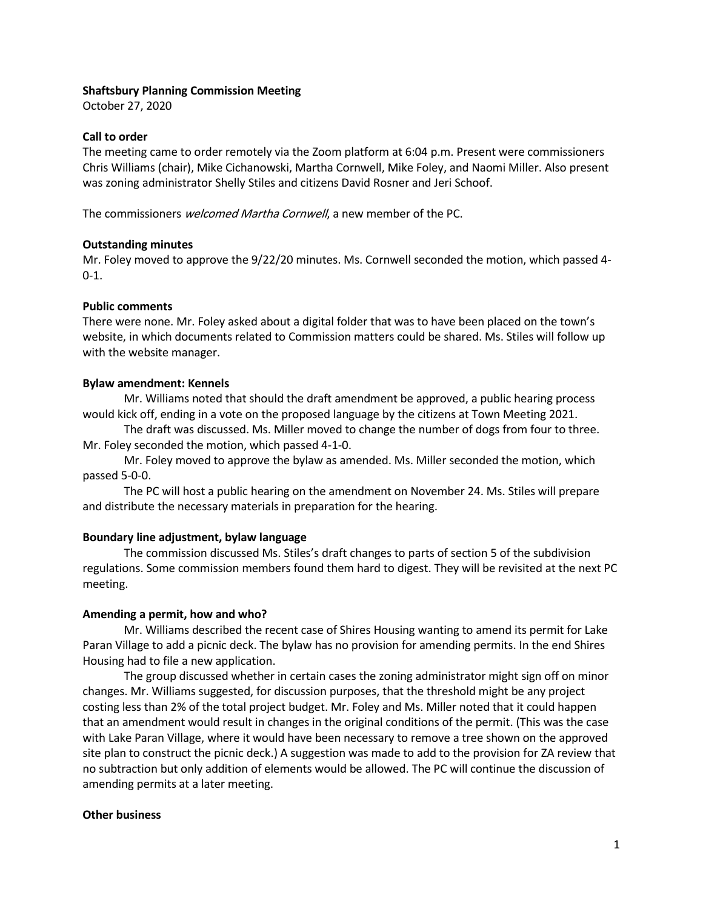## Shaftsbury Planning Commission Meeting

October 27, 2020

## Call to order

The meeting came to order remotely via the Zoom platform at 6:04 p.m. Present were commissioners Chris Williams (chair), Mike Cichanowski, Martha Cornwell, Mike Foley, and Naomi Miller. Also present was zoning administrator Shelly Stiles and citizens David Rosner and Jeri Schoof.

The commissioners welcomed Martha Cornwell, a new member of the PC.

## Outstanding minutes

Mr. Foley moved to approve the 9/22/20 minutes. Ms. Cornwell seconded the motion, which passed 4- 0-1.

## Public comments

There were none. Mr. Foley asked about a digital folder that was to have been placed on the town's website, in which documents related to Commission matters could be shared. Ms. Stiles will follow up with the website manager.

## Bylaw amendment: Kennels

Mr. Williams noted that should the draft amendment be approved, a public hearing process would kick off, ending in a vote on the proposed language by the citizens at Town Meeting 2021.

The draft was discussed. Ms. Miller moved to change the number of dogs from four to three. Mr. Foley seconded the motion, which passed 4-1-0.

Mr. Foley moved to approve the bylaw as amended. Ms. Miller seconded the motion, which passed 5-0-0.

The PC will host a public hearing on the amendment on November 24. Ms. Stiles will prepare and distribute the necessary materials in preparation for the hearing.

# Boundary line adjustment, bylaw language

The commission discussed Ms. Stiles's draft changes to parts of section 5 of the subdivision regulations. Some commission members found them hard to digest. They will be revisited at the next PC meeting.

# Amending a permit, how and who?

Mr. Williams described the recent case of Shires Housing wanting to amend its permit for Lake Paran Village to add a picnic deck. The bylaw has no provision for amending permits. In the end Shires Housing had to file a new application.

The group discussed whether in certain cases the zoning administrator might sign off on minor changes. Mr. Williams suggested, for discussion purposes, that the threshold might be any project costing less than 2% of the total project budget. Mr. Foley and Ms. Miller noted that it could happen that an amendment would result in changes in the original conditions of the permit. (This was the case with Lake Paran Village, where it would have been necessary to remove a tree shown on the approved site plan to construct the picnic deck.) A suggestion was made to add to the provision for ZA review that no subtraction but only addition of elements would be allowed. The PC will continue the discussion of amending permits at a later meeting.

# Other business